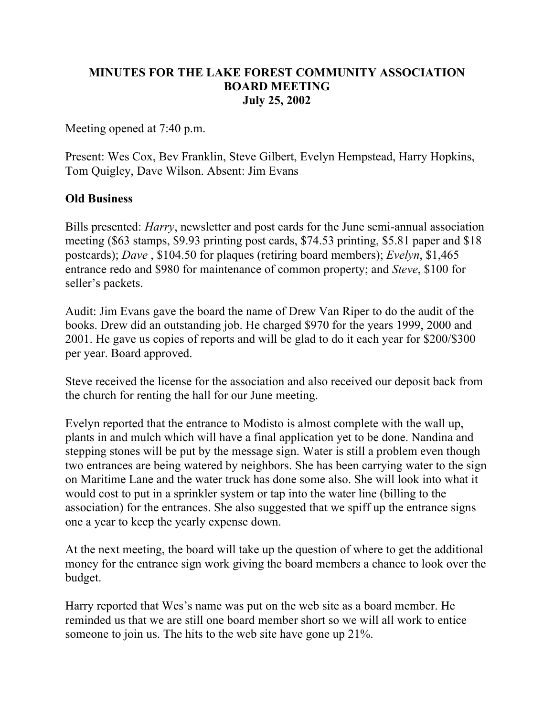## **MINUTES FOR THE LAKE FOREST COMMUNITY ASSOCIATION BOARD MEETING July 25, 2002**

Meeting opened at 7:40 p.m.

Present: Wes Cox, Bev Franklin, Steve Gilbert, Evelyn Hempstead, Harry Hopkins, Tom Quigley, Dave Wilson. Absent: Jim Evans

## **Old Business**

Bills presented: *Harry*, newsletter and post cards for the June semi-annual association meeting (\$63 stamps, \$9.93 printing post cards, \$74.53 printing, \$5.81 paper and \$18 postcards); *Dave* , \$104.50 for plaques (retiring board members); *Evelyn*, \$1,465 entrance redo and \$980 for maintenance of common property; and *Steve*, \$100 for seller's packets.

Audit: Jim Evans gave the board the name of Drew Van Riper to do the audit of the books. Drew did an outstanding job. He charged \$970 for the years 1999, 2000 and 2001. He gave us copies of reports and will be glad to do it each year for \$200/\$300 per year. Board approved.

Steve received the license for the association and also received our deposit back from the church for renting the hall for our June meeting.

Evelyn reported that the entrance to Modisto is almost complete with the wall up, plants in and mulch which will have a final application yet to be done. Nandina and stepping stones will be put by the message sign. Water is still a problem even though two entrances are being watered by neighbors. She has been carrying water to the sign on Maritime Lane and the water truck has done some also. She will look into what it would cost to put in a sprinkler system or tap into the water line (billing to the association) for the entrances. She also suggested that we spiff up the entrance signs one a year to keep the yearly expense down.

At the next meeting, the board will take up the question of where to get the additional money for the entrance sign work giving the board members a chance to look over the budget.

Harry reported that Wes's name was put on the web site as a board member. He reminded us that we are still one board member short so we will all work to entice someone to join us. The hits to the web site have gone up 21%.